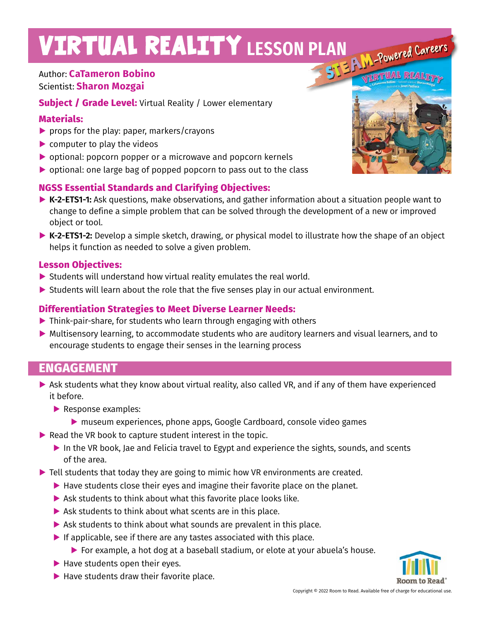# VIRTUAL REALITY LESSON PLAN POWEred Careers

## Author: **CaTameron Bobino** Scientist: **Sharon Mozgai**

**Subject / Grade Level:** Virtual Reality / Lower elementary

#### **Materials:**

- ▶ props for the play: paper, markers/crayons
- ▶ computer to play the videos
- **▶** optional: popcorn popper or a microwave and popcorn kernels
- **▶** optional: one large bag of popped popcorn to pass out to the class

## **NGSS Essential Standards and Clarifying Objectives:**

- **▶ K-2-ETS1-1:** Ask questions, make observations, and gather information about a situation people want to change to define a simple problem that can be solved through the development of a new or improved object or tool.
- **▶ K-2-ETS1-2:** Develop a simple sketch, drawing, or physical model to illustrate how the shape of an object helps it function as needed to solve a given problem.

## **Lesson Objectives:**

- ▶ Students will understand how virtual reality emulates the real world.
- **▶** Students will learn about the role that the five senses play in our actual environment.

### **Differentiation Strategies to Meet Diverse Learner Needs:**

- **▶** Think-pair-share, for students who learn through engaging with others
- ▶ Multisensory learning, to accommodate students who are auditory learners and visual learners, and to encourage students to engage their senses in the learning process

# **ENGAGEMENT**

- ▶ Ask students what they know about virtual reality, also called VR, and if any of them have experienced it before.
	- **▶** Response examples:
		- ▶ museum experiences, phone apps, Google Cardboard, console video games
- ▶ Read the VR book to capture student interest in the topic.
	- ▶ In the VR book, Jae and Felicia travel to Egypt and experience the sights, sounds, and scents of the area.
- **▶** Tell students that today they are going to mimic how VR environments are created.
	- **▶** Have students close their eyes and imagine their favorite place on the planet.
	- ▶ Ask students to think about what this favorite place looks like.
	- **▶** Ask students to think about what scents are in this place.
	- **▶** Ask students to think about what sounds are prevalent in this place.
	- ▶ If applicable, see if there are any tastes associated with this place.
		- **▶** For example, a hot dog at a baseball stadium, or elote at your abuela's house.
	- **▶** Have students open their eyes.
	- ▶ Have students draw their favorite place.



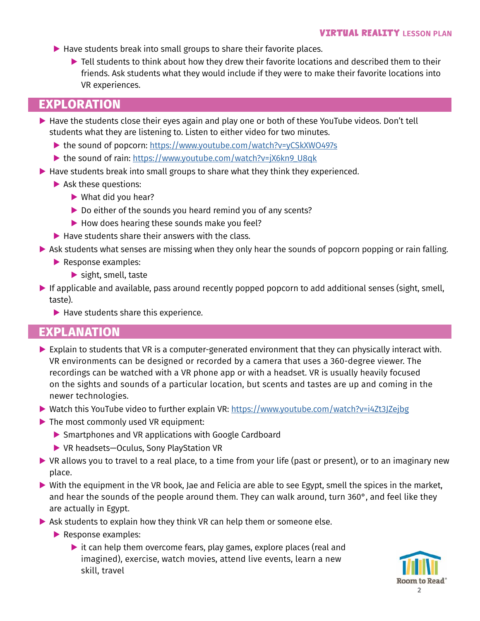- ▶ Have students break into small groups to share their favorite places.
	- **▶** Tell students to think about how they drew their favorite locations and described them to their friends. Ask students what they would include if they were to make their favorite locations into VR experiences.

## **EXPLORATION**

- ▶ Have the students close their eyes again and play one or both of these YouTube videos. Don't tell students what they are listening to. Listen to either video for two minutes.
	- ▶ the sound of popcorn: https://www.youtube.com/watch?v=yCSkXWO497s
	- ▶ the sound of rain: https://www.youtube.com/watch?v=jX6kn9\_U8qk
- ▶ Have students break into small groups to share what they think they experienced.
	- **▶** Ask these questions:
		- **▶** What did you hear?
		- ▶ Do either of the sounds you heard remind you of any scents?
		- **▶** How does hearing these sounds make you feel?
	- ▶ Have students share their answers with the class.
- ▶ Ask students what senses are missing when they only hear the sounds of popcorn popping or rain falling.
	- **▶** Response examples:
		- **▶** sight, smell, taste
- **▶** If applicable and available, pass around recently popped popcorn to add additional senses (sight, smell, taste).
	- **▶** Have students share this experience.

## **EXPLANATION**

- **▶** Explain to students that VR is a computer-generated environment that they can physically interact with. VR environments can be designed or recorded by a camera that uses a 360-degree viewer. The recordings can be watched with a VR phone app or with a headset. VR is usually heavily focused on the sights and sounds of a particular location, but scents and tastes are up and coming in the newer technologies.
- ▶ Watch this YouTube video to further explain VR: https://www.youtube.com/watch?v=i4Zt3JZejbg
- **▶** The most commonly used VR equipment:
	- **▶** Smartphones and VR applications with Google Cardboard
	- **▶** VR headsets—Oculus, Sony PlayStation VR
- ▶ VR allows you to travel to a real place, to a time from your life (past or present), or to an imaginary new place.
- **▶** With the equipment in the VR book, Jae and Felicia are able to see Egypt, smell the spices in the market, and hear the sounds of the people around them. They can walk around, turn 360°, and feel like they are actually in Egypt.
- ▶ Ask students to explain how they think VR can help them or someone else.
	- **▶** Response examples:
		- ▶ it can help them overcome fears, play games, explore places (real and imagined), exercise, watch movies, attend live events, learn a new skill, travel